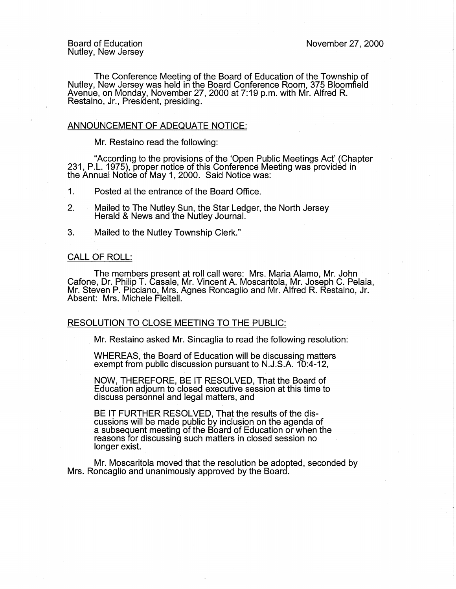The Conference Meeting of the Board of Education of the Township of Nutley, New Jersey was held in the Board Conference Room, 375 Bloomfield Avenue, on Monday, November 27, 2000 at 7:19 p.m. with Mr. Alfred R. Restaino, Jr., President, presiding.

## ANNOUNCEMENT OF ADEQUATE NOTICE:

Mr. Restaino read the following:

"According to the provisions of the 'Open Public Meetings Act' (Chapter 231, P.L. 1975), proper notice of this Conference Meeting was provided in the Annual Notice of May 1, 2000. Said Notice was:

1. Posted at the entrance of the Board Office.

2. Mailed to The Nutley Sun, the Star Ledger, the North Jersey Herald & News and the Nutley Journal.

3. Mailed to the Nutley Township Clerk."

## CALL OF ROLL:

The members present at roll call were: Mrs. Maria Alamo, Mr. John Cafone, Dr. Philip T. Casale, Mr. Vincent A. Moscaritola, Mr. Joseph C. Pelaia, Mr. Steven P. Picciano, Mrs. Agnes Roncaglio and Mr. Alfred R. Restaino, Jr. Absent: Mrs. Michele Fleitell.

## RESOLUTION TO CLOSE MEETING TO THE PUBLIC:

Mr. Restaino asked Mr. Sincaglia to read the following resolution:

WHEREAS, the Board of Education will be discussing matters exempt from public discussion pursuant to N.J.S.A. 10:4-12,

NOW, THEREFORE, BE IT RESOLVED, That the Board of Education adjourn to closed executive session at this time to discuss personnel and legal matters, and

BE IT FURTHER RESOLVED, That the results of the discussions will be made public by inclusion on the agenda of a subsequent meeting of the Board of Education or when the reasons for discussing such matters in closed session no longer exist.

Mr. Moscaritola moved that the resolution be adopted, seconded by Mrs. Roncaglio and unanimously approved by the Board.